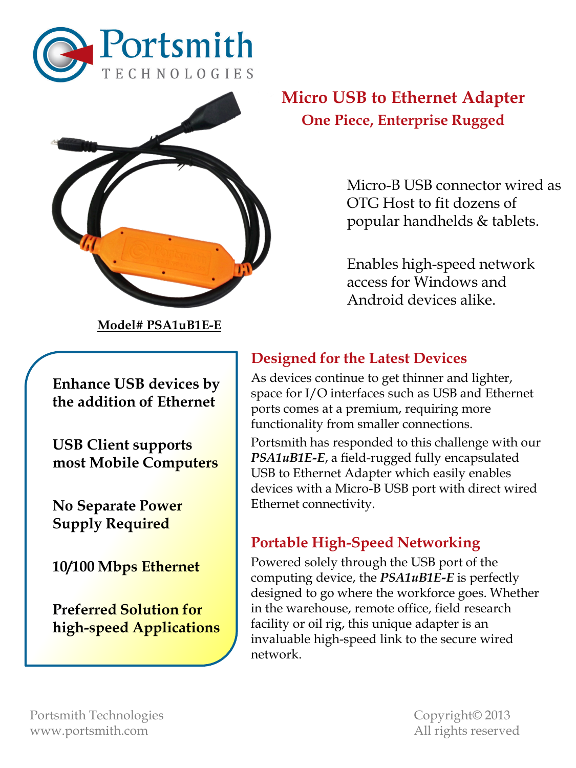



**Model# PSA1uB1E-E**

**Enhance USB devices by the addition of Ethernet**

**USB Client supports most Mobile Computers**

**No Separate Power Supply Required** 

**10/100 Mbps Ethernet**

**Preferred Solution for high-speed Applications**

# **Micro USB to Ethernet Adapter One Piece, Enterprise Rugged**

Micro-B USB connector wired as OTG Host to fit dozens of popular handhelds & tablets.

Enables high-speed network access for Windows and Android devices alike.

# **Designed for the Latest Devices**

As devices continue to get thinner and lighter, space for I/O interfaces such as USB and Ethernet ports comes at a premium, requiring more functionality from smaller connections.

Portsmith has responded to this challenge with our *PSA1uB1E-E*, a field-rugged fully encapsulated USB to Ethernet Adapter which easily enables devices with a Micro-B USB port with direct wired Ethernet connectivity.

# **Portable High-Speed Networking**

Powered solely through the USB port of the computing device, the *PSA1uB1E-E* is perfectly designed to go where the workforce goes. Whether in the warehouse, remote office, field research facility or oil rig, this unique adapter is an invaluable high-speed link to the secure wired network.

Portsmith Technologies Copyright© 2013 www.portsmith.com and a series of the All rights reserved